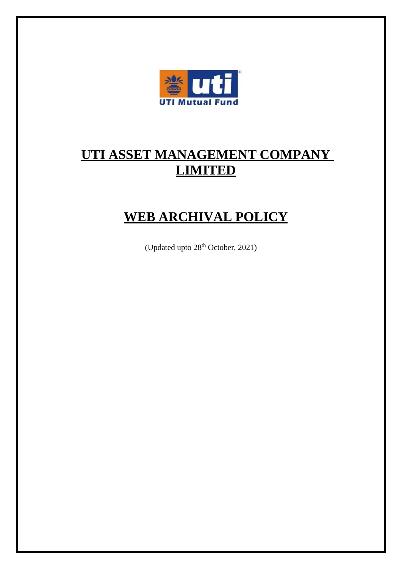

# **UTI ASSET MANAGEMENT COMPANY LIMITED**

# **WEB ARCHIVAL POLICY**

(Updated upto 28<sup>th</sup> October, 2021)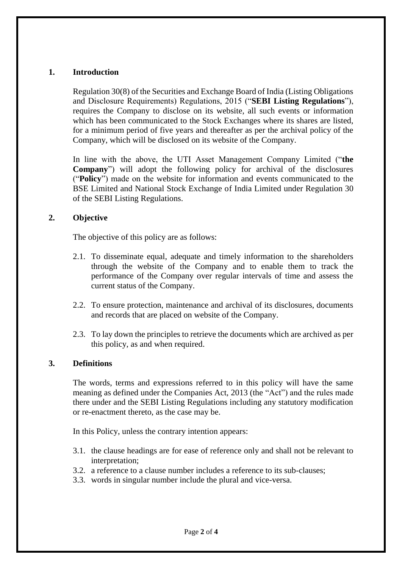# **1. Introduction**

Regulation 30(8) of the Securities and Exchange Board of India (Listing Obligations and Disclosure Requirements) Regulations, 2015 ("**SEBI Listing Regulations**"), requires the Company to disclose on its website, all such events or information which has been communicated to the Stock Exchanges where its shares are listed, for a minimum period of five years and thereafter as per the archival policy of the Company, which will be disclosed on its website of the Company.

In line with the above, the UTI Asset Management Company Limited ("**the Company**") will adopt the following policy for archival of the disclosures ("**Policy**") made on the website for information and events communicated to the BSE Limited and National Stock Exchange of India Limited under Regulation 30 of the SEBI Listing Regulations.

# **2. Objective**

The objective of this policy are as follows:

- 2.1. To disseminate equal, adequate and timely information to the shareholders through the website of the Company and to enable them to track the performance of the Company over regular intervals of time and assess the current status of the Company.
- 2.2. To ensure protection, maintenance and archival of its disclosures, documents and records that are placed on website of the Company.
- 2.3. To lay down the principles to retrieve the documents which are archived as per this policy, as and when required.

#### **3. Definitions**

The words, terms and expressions referred to in this policy will have the same meaning as defined under the Companies Act, 2013 (the "Act") and the rules made there under and the SEBI Listing Regulations including any statutory modification or re-enactment thereto, as the case may be.

In this Policy, unless the contrary intention appears:

- 3.1. the clause headings are for ease of reference only and shall not be relevant to interpretation;
- 3.2. a reference to a clause number includes a reference to its sub-clauses;
- 3.3. words in singular number include the plural and vice-versa.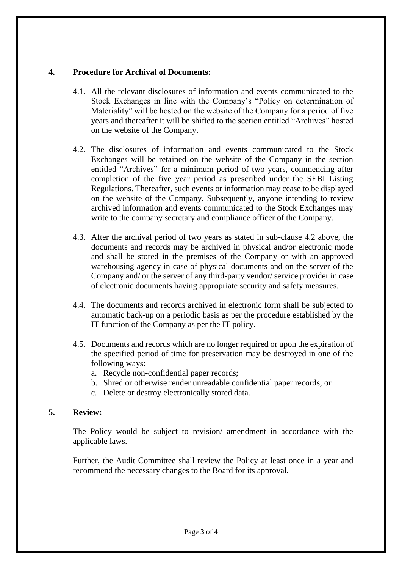# **4. Procedure for Archival of Documents:**

- 4.1. All the relevant disclosures of information and events communicated to the Stock Exchanges in line with the Company's "Policy on determination of Materiality" will be hosted on the website of the Company for a period of five years and thereafter it will be shifted to the section entitled "Archives" hosted on the website of the Company.
- 4.2. The disclosures of information and events communicated to the Stock Exchanges will be retained on the website of the Company in the section entitled "Archives" for a minimum period of two years, commencing after completion of the five year period as prescribed under the SEBI Listing Regulations. Thereafter, such events or information may cease to be displayed on the website of the Company. Subsequently, anyone intending to review archived information and events communicated to the Stock Exchanges may write to the company secretary and compliance officer of the Company.
- 4.3. After the archival period of two years as stated in sub-clause 4.2 above, the documents and records may be archived in physical and/or electronic mode and shall be stored in the premises of the Company or with an approved warehousing agency in case of physical documents and on the server of the Company and/ or the server of any third-party vendor/ service provider in case of electronic documents having appropriate security and safety measures.
- 4.4. The documents and records archived in electronic form shall be subjected to automatic back-up on a periodic basis as per the procedure established by the IT function of the Company as per the IT policy.
- 4.5. Documents and records which are no longer required or upon the expiration of the specified period of time for preservation may be destroyed in one of the following ways:
	- a. Recycle non-confidential paper records;
	- b. Shred or otherwise render unreadable confidential paper records; or
	- c. Delete or destroy electronically stored data.

#### **5. Review:**

The Policy would be subject to revision/ amendment in accordance with the applicable laws.

Further, the Audit Committee shall review the Policy at least once in a year and recommend the necessary changes to the Board for its approval.